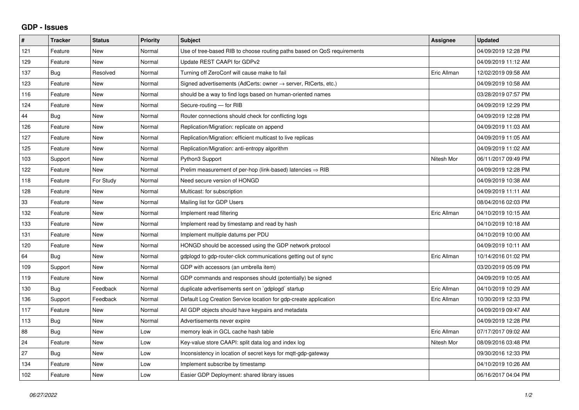## **GDP - Issues**

| #   | <b>Tracker</b> | <b>Status</b> | <b>Priority</b> | <b>Subject</b>                                                          | Assignee    | <b>Updated</b>      |
|-----|----------------|---------------|-----------------|-------------------------------------------------------------------------|-------------|---------------------|
| 121 | Feature        | <b>New</b>    | Normal          | Use of tree-based RIB to choose routing paths based on QoS requirements |             | 04/09/2019 12:28 PM |
| 129 | Feature        | <b>New</b>    | Normal          | Update REST CAAPI for GDPv2                                             |             | 04/09/2019 11:12 AM |
| 137 | Bug            | Resolved      | Normal          | Turning off ZeroConf will cause make to fail                            | Eric Allman | 12/02/2019 09:58 AM |
| 123 | Feature        | <b>New</b>    | Normal          | Signed advertisements (AdCerts: owner → server, RtCerts, etc.)          |             | 04/09/2019 10:58 AM |
| 116 | Feature        | <b>New</b>    | Normal          | should be a way to find logs based on human-oriented names              |             | 03/28/2019 07:57 PM |
| 124 | Feature        | <b>New</b>    | Normal          | Secure-routing - for RIB                                                |             | 04/09/2019 12:29 PM |
| 44  | Bug            | <b>New</b>    | Normal          | Router connections should check for conflicting logs                    |             | 04/09/2019 12:28 PM |
| 126 | Feature        | <b>New</b>    | Normal          | Replication/Migration: replicate on append                              |             | 04/09/2019 11:03 AM |
| 127 | Feature        | <b>New</b>    | Normal          | Replication/Migration: efficient multicast to live replicas             |             | 04/09/2019 11:05 AM |
| 125 | Feature        | <b>New</b>    | Normal          | Replication/Migration: anti-entropy algorithm                           |             | 04/09/2019 11:02 AM |
| 103 | Support        | <b>New</b>    | Normal          | Python3 Support                                                         | Nitesh Mor  | 06/11/2017 09:49 PM |
| 122 | Feature        | <b>New</b>    | Normal          | Prelim measurement of per-hop (link-based) latencies $\Rightarrow$ RIB  |             | 04/09/2019 12:28 PM |
| 118 | Feature        | For Study     | Normal          | Need secure version of HONGD                                            |             | 04/09/2019 10:38 AM |
| 128 | Feature        | <b>New</b>    | Normal          | Multicast: for subscription                                             |             | 04/09/2019 11:11 AM |
| 33  | Feature        | New           | Normal          | Mailing list for GDP Users                                              |             | 08/04/2016 02:03 PM |
| 132 | Feature        | <b>New</b>    | Normal          | Implement read filtering                                                | Eric Allman | 04/10/2019 10:15 AM |
| 133 | Feature        | <b>New</b>    | Normal          | Implement read by timestamp and read by hash                            |             | 04/10/2019 10:18 AM |
| 131 | Feature        | <b>New</b>    | Normal          | Implement multiple datums per PDU                                       |             | 04/10/2019 10:00 AM |
| 120 | Feature        | <b>New</b>    | Normal          | HONGD should be accessed using the GDP network protocol                 |             | 04/09/2019 10:11 AM |
| 64  | Bug            | New           | Normal          | gdplogd to gdp-router-click communications getting out of sync          | Eric Allman | 10/14/2016 01:02 PM |
| 109 | Support        | <b>New</b>    | Normal          | GDP with accessors (an umbrella item)                                   |             | 03/20/2019 05:09 PM |
| 119 | Feature        | <b>New</b>    | Normal          | GDP commands and responses should (potentially) be signed               |             | 04/09/2019 10:05 AM |
| 130 | <b>Bug</b>     | Feedback      | Normal          | duplicate advertisements sent on `gdplogd` startup                      | Eric Allman | 04/10/2019 10:29 AM |
| 136 | Support        | Feedback      | Normal          | Default Log Creation Service location for gdp-create application        | Eric Allman | 10/30/2019 12:33 PM |
| 117 | Feature        | <b>New</b>    | Normal          | All GDP objects should have keypairs and metadata                       |             | 04/09/2019 09:47 AM |
| 113 | <b>Bug</b>     | <b>New</b>    | Normal          | Advertisements never expire                                             |             | 04/09/2019 12:28 PM |
| 88  | Bug            | <b>New</b>    | Low             | memory leak in GCL cache hash table                                     | Eric Allman | 07/17/2017 09:02 AM |
| 24  | Feature        | <b>New</b>    | Low             | Key-value store CAAPI: split data log and index log                     | Nitesh Mor  | 08/09/2016 03:48 PM |
| 27  | Bug            | <b>New</b>    | Low             | Inconsistency in location of secret keys for mgtt-gdp-gateway           |             | 09/30/2016 12:33 PM |
| 134 | Feature        | New           | Low             | Implement subscribe by timestamp                                        |             | 04/10/2019 10:26 AM |
| 102 | Feature        | New           | Low             | Easier GDP Deployment: shared library issues                            |             | 06/16/2017 04:04 PM |